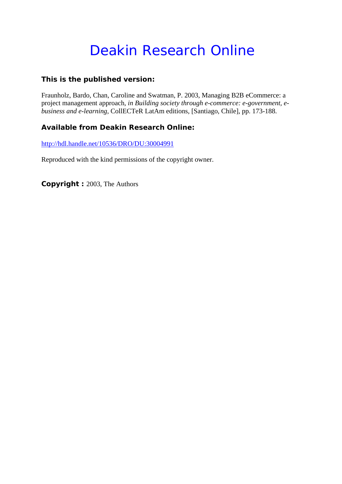# Deakin Research Online

#### **This is the published version:**

Fraunholz, Bardo, Chan, Caroline and Swatman, P. 2003, Managing B2B eCommerce: a project management approach*, in Building society through e-commerce: e-government, ebusiness and e-learning*, CollECTeR LatAm editions, [Santiago, Chile], pp. 173-188.

#### **Available from Deakin Research Online:**

http://hdl.handle.net/10536/DRO/DU:30004991

Reproduced with the kind permissions of the copyright owner.

**Copyright :** 2003, The Authors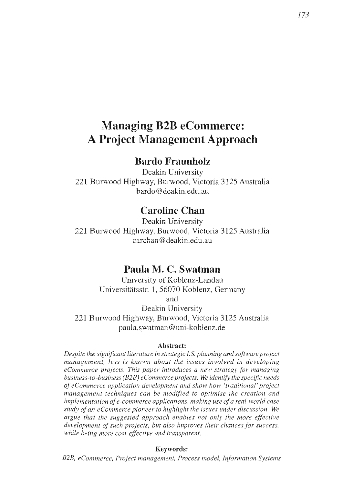## **Managing B2B eCommerce: A Project Management Approach**

## **Bardo Fraunholz**

Deakin University 221 Burwood Highway, Burwood, Victoria 3125 Australia bardo@deakin.edu.au

## **Caroline Chan**

Deakin University 221 Burwood Highway, Burwood, Victoria 3125 Australia carchan@deakin.edu.au

## **Paula M. C. Swatman**

University of Koblenz-Landau Universitätsstr. 1, 56070 Koblenz, Germany and

Deakin University 221 Burwood Highway, Burwood, Victoria 3125 Australia paula.swatman@uni-koblenz.de

#### **Abstract:**

*Despite the significant literature in strategic I.S. planning and software project management, less is known about the issues involved in developing eCommerce projects. This paper introduces a new strategy for managing business-fa-business (B2BJ eCommerce projects. We identify the specific needs of eCommerce application development and show how 'traditional' project management techniques can be modified to optimise the creation and implementation of e-commerce applications, making use of a real-world case study of an eCommerce pioneer to highlight the issues under discussion. We argue that the suggested approach enables not only the more effective development of such projects, but also improves their chances for success, while being nwre cost-effective and transparent.* 

#### **Keywords:**

*B2B, eCommerce, Project management, Process model, Information Systems*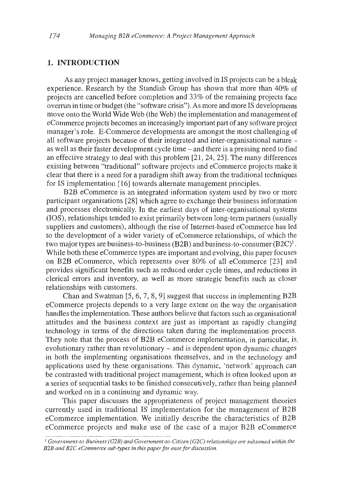#### **1. INTRODUCTION**

As any project manager knows, getting involved in IS projects can be a bleak experience. Research by the Standish Group has shown that more than 40% of projects are cancelled before completion and 33% of the remaining projects face overrun in time or budget (the "software crisis"). As more and more IS developments move onto the World Wide Web (the Web) the implementation and management of eCommerce projects becomes an increasingly important part of any software project manager's role. E-Commerce developments are amongst the most challenging of all software projects because of their integrated and inter-organisational nature as well as their faster development cycle time - and there is a pressing need to find an effective strategy to deal with this problem [21, 24, 25]. The many differences existing between "traditional" software projects and eCommerce projects make it clear that there is a need for a paradigm shift away from the traditional techniques for IS implementation (16] towards alternate management principles.

B2B eCommerce is an integrated information system used by two or more participant organisations [28] which agree to exchange their business information and processes electronically. **In** the earliest days of inter-organisational systems (lOS), relationships tended to exist primarily between long-term partners (usually suppliers and customers), although the rise of Internet-based eCommerce has led to the development of a wider variety of eCommerce relationships, of which the two major types are business-to-business (B2B) and business-to-consumer  $(B2C)^1$ . While both these eCommerce types are important and evolving, this paper focuses on B2B eCommerce, which represents over 80% of all eCommerce [23] and provides significant benefits such as reduced order cycle times, and reductions in clerical errors and inventory, as well as more strategic benefits such as closer relationships with customers.

Chan and Swatman [5, 6, 7, 8, 9] suggest that success in implementing  $B2B$ eCommerce projects depends to a very large extent on the way the organisation handles the implementation. These authors believe that factors such as organisational attitudes and the business context are just as important as rapidly changing technology in terms of the directions taken during the implementation process. They note that the process of B2B eCommerce implementation, in particular, is. evolutionary rather than revolutionary – and is dependent upon dynamic changes in both the implementing organisations themselves, and in the technology and applications used by these organisations. This dynamic, 'network' approach can be contrasted with traditional project management, which is often looked upon as a series of sequential tasks to be finished consecutively, rather than being planned and worked on in a continuing and dynamic way.

This paper discusses the appropriateness of project management theories currently used in traditional IS implementation for the management of B2B eCommerce implementation. We initially describe the characteristics of B2B eCommerce projects and make use of the case of a major B2B eCommerce

<sup>&</sup>lt;sup>1</sup> Government-to-Business (G2B) and Government-to-Citizen (G2C) relationships are subsumed within the *B2B and B2C eCommerce sub-types in this paper for easefor discussion.*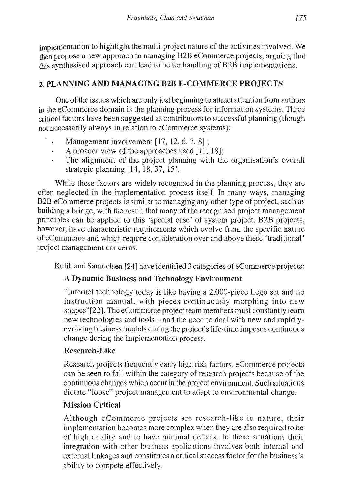implementation to highlight the multi-project nature of the activities involved. We then propose a new approach to managing B2B eCommerce projects, arguing that this synthesised approach can lead to better handling of B2B implementations.

## 2. PLANNING AND MANAGING B2B E-COMMERCE PROJECTS

One of the issues which are only just beginning to attract attention from authors in the eCommerce domain is the planning process for information systems. Three critical factors have been suggested as contributors to successful planning (though not necessarily always in relation to eCommerce systems):

- Management involvement [17, 12, 6, 7, 8];
- A broader view of the approaches used [11, 18];
- The alignment of the project planning with the organisation's overall strategic planning [14, 18,37, 15].

While these factors are widely recognised in the planning process, they are often neglected in the implementation process itself. In many ways, managing B2B eCommerce projects is similar to managing any other type of project, such as building a bridge, with the result that many of the recognised project management principles can be applied to this 'special case' of system project. B2B projects, however, have characteristic requirements which evolve from the specific nature of eCommerce and which require consideration over and above these 'traditional' project management concerns.

Kulik and Samuelsen [24] have identified 3 categories of eCommerce projects:

## A Dynamic Business and Technology Environment

"Internet technology today is like having a 2,OOO-piece Lego set and no instruction manual, with pieces continuously morphing into new shapes"[22]. The eCommerce project team members must constantly learn new technologies and tools - and the need to deal with new and rapidlyevolving business models during the project's life-time imposes continuous change during the implementation process.

## Research-Like

Research projects frequently carry high risk factors. eCommerce projects can be seen to fall within the category of research projects because of the continuous changes which occur in the project environment. Such situations dictate "loose" project management to adapt to environmental change.

## Mission Critical

Although eCommerce projects are research-like in nature, their implementation becomes more complex when they are also required to be of high quality and to have minimal defects. In these situations their integration with other business applications involves both internal and external linkages and constitutes a critical success factor for the business's ability to compete effectively.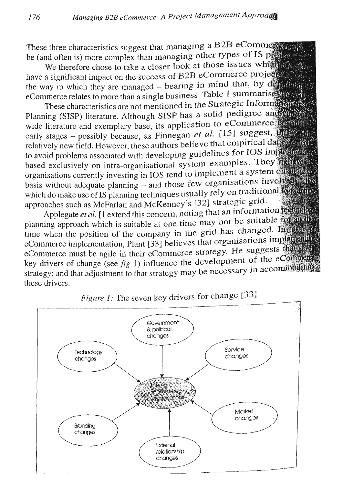These three characteristics suggest that managing a B2B eCommerce and be (and often is) more complex than managing other types of IS projector

We therefore chose to take a closer look at those issues which are not have a significant impact on the success of B2B eCommerce projects the way in which they are managed  $-$  bearing in mind that, by definition eCommerce relates to more than a single business. Table 1 summarises the relation

These characteristics are not mentioned in the Strategic Informations was Planning (SISP) literature. Although SISP has a solid pedigree and the Planning wide literature and exemplary base, its application to eCommerce is solitant early stages - possibly because, as Finnegan et al. [15] suggest, the same relatively new field. However, these authors believe that empirical data answers to avoid problems associated with developing guidelines for IOS implementation based exclusively on intra-organisational system examples. They helieve in organisations currently investing in IOS tend to implement a system of an antibasis without adequate planning  $-$  and those few organisations involved in  $\Gamma$ which do make use of IS planning techniques usually rely on traditional is planning approaches such as McFarlan and McKenney's [32] strategic grid.

Applegate *et al.* [1 extend this concern, noting that an information technology planning approach which is suitable at one time may not be suitable for another time when the position of the company in the grid has changed. In terms in eCommerce implementation, Plant [33] believes that organisations implementing eCommerce must be agile in their eCommerce strategy. He suggests that several key drivers of change (see *fig* 1) influence the development of the eComment  $\epsilon$ y divers of change (see  $\mu$ g 1) influence the development in accommodating rangg, and an



*Figure* 1: The seven key drivers for change [33]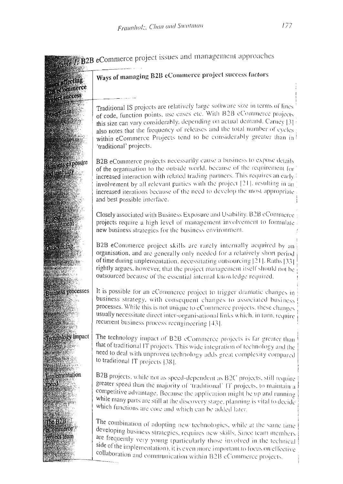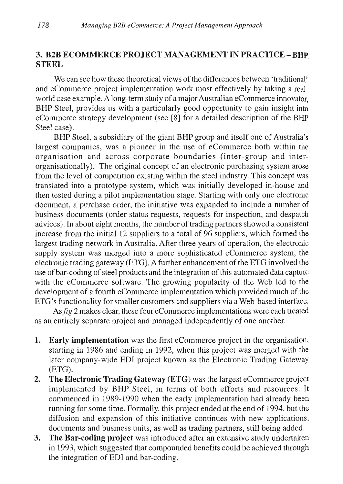## 3. B2B ECOMMERCE PROJECT MANAGEMENT IN PRACTICE - BHP STEEL

We can see how these theoretical views of the differences between 'traditional' and eCommerce project implementation work most effectively by taking a realworld case example. A long-term study of a major Australian eCommerce innovator, BHP Steel, provides us with a particularly good opportunity to gain insight into eCommerce strategy development (see [8] for a detailed description of the BHP Steel case).

BHP Steel, a subsidiary of the giant BHP group and itself one of Australia's largest companies, was a pioneer in the use of eCommerce both within the organisation and across corporate boundaries (inter-group and interorganisationally). The original concept of an electronic purchasing system arose from the level of competition existing within the steel industry. This concept was translated into a prototype system, which was initially developed in-house and then tested during a pilot implementation stage. Starting with only one electronic document, a purchase order, the initiative was expanded to include a number of business documents (order-status requests, requests for inspection, and despatch advices). In about eight months, the number of trading partners showed a consistent increase from the initial 12 suppliers to a total of 96 suppliers, which formed the largest trading network in Australia. After three years of operation, the electronic supply system was merged into a more sophisticated eCommerce system, the electronic trading gateway (ETG). A further enhancement of the ETG involved the use of bar-coding of steel products and the integration of this automated data capture with the eCommerce software. The growing popularity of the Web led to the development of a fourth eCommerce implementation which provided much of the ETG's functionality for smaller customers and suppliers via a Web-based interface.

*Asfig* 2 makes clear, these four eCommerce implementations were each treated as an entirely separate project and managed independently of one another.

- 1. Early implementation was the first eCommerce project in the organisation, starting in 1986 and ending in 1992, when this project was merged with the later company-wide EDI project known as the Electronic Trading Gateway (ETG).
- 2. The Electronic Trading Gateway (ETG) was the largest eCommerce project implemented by BHP Steel, in terms of both efforts and resources. It commenced in 1989-1990 when the early implementation had already been running for some time. Formally, this project ended at the end of 1994, but the diffusion and expansion of this initiative continues with new applications, documents and business units, as well as trading partners, still being added.
- 3. The Bar-coding project was introduced after an extensive study undertaken in 1993, which suggested that compounded benefits could be achieved through the integration of EDI and bar-coding.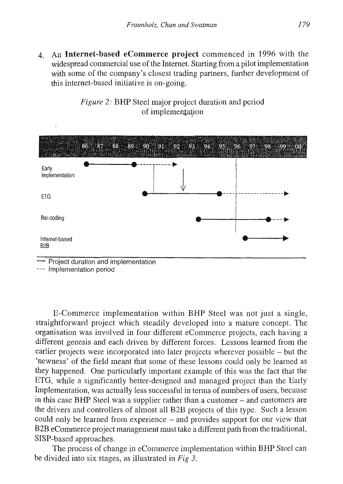4. An Internet-based eCommerce project commenced in 1996 with the widespread commercial use of the Internet. Starting from a pilot implementation with some of the company's closest trading partners, further development of this internet-based initiative is on-going.





Project duration and implementation

--- Implementation period

E-Commerce implementation within BHP Steel was not just a single, straightforward project which steadily developed into a mature concept. The organisation was involved in four different eCommerce projects, each having a different genesis and each driven by different forces. Lessons learned from the earlier projects were incorporated into later projects wherever possible - but the 'newness' of the field meant that some of these lessons could only be learned as they happened. One particularly important example of this was the fact that the ETO, while a significantly better-designed and managed project than the Early Implementation, was actually less successful in terms of numbers of users, because in this case BHP Steel was a supplier rather than a customer - and customers are the drivers and controllers of almost all B2B projects of this type. Such a lesson could only be learned from experience - and provides support for our view that B2B eCommerce project management must take a different path from the traditional, SISP-based approaches.

The process of change in eCommerce implementation within BHP Steel can be divided into six stages, as illustrated in Fig 3.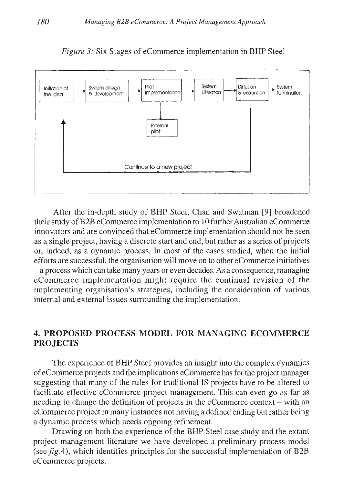

*Figure 3:* Six Stages of eCommerce implementation in BHP Steel

After the in-depth study of BHP Steel, Chan and Swatman [9] broadened their study of B 2B eCommerce implementation to 10 further Australian eCommerce innovators and are convinced that eCommerce implementation should not be seen as a single project, having a discrete start and end, but rather as a series of projects or, indeed, as a dynamic process. In most of the cases studied, when the initial efforts are successful, the organisation will move on to other eCommerce initiatives - a process which can take many years or even decades. As a consequence, managing eCommerce implementation might require the continual revision of the implementing organisation's strategies, including the consideration of various internal and external issues surrounding the implementation.

## 4. PROPOSED PROCESS MODEL FOR MANAGING ECOMMERCE PROJECTS

The experience of BHP Steel provides an insight into the complex dynamics of eCommerce projects and the implications eCommerce has for the project manager suggesting that many of the rules for traditional IS projects have to be altered to facilitate effective eCommerce project management. This can even go as far as needing to change the definition of projects in the eCommerce context – with an eCommerce project in many instances not having a defined ending but rather being a dynamic process which needs ongoing refinement.

Drawing on both the experience of the BHP Steel case study and the extant project management literature we have developed a preliminary process model *(seefigA),* which identifies principles for the successful implementation of B2B eCommerce projects.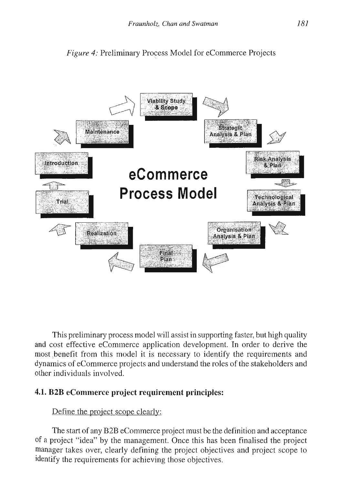



This preliminary process model will assist in supporting faster, but high quality and cost effective eCommerce application development. In order to derive the most benefit from this model it is necessary to identify the requirements and dynamics of eCommerce projects and understand the roles of the stakeholders and other individuals involved.

## **4.1. B2B eCommerce project requirement principles:**

## Define the project scope clearly:

The start of any B2B eCommerce project must be the definition and acceptance of a project "idea" by the management. Once this has been finalised the project manager takes over, clearly defining the project objectives and project scope to identify the requirements for achieving those objectives.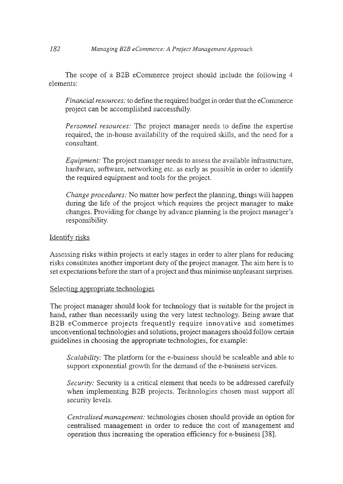The scope of a B2B eCommerce project should include the following 4 elements:

*Financial resources:* to define the required budget in order that the eCommerce project can be accomplished successfully.

*Personnel resources:* The project manager needs to define the expertise required, the in-house availability of the required skills, and the need for a consultant.

*Equipment:* The project manager needs to assess the available infrastructure, hardware, software, networking etc. as early as possible in order to identify the required equipment and tools for the project.

*Change procedures:* No matter how perfect the planning, things will happen during the life of the project which requires the project manager to make changes. Providing for change by advance planning is the project manager's responsibility.

#### Identify risks

Assessing risks within projects at early stages in order to alter plans for reducing risks constitutes another important duty of the project manager. The aim here is to set expectations before the start of a project and thus minimise unpleasant surprises.

#### Selecting appropriate technologies

The project manager should look for technology that is suitable for the project in hand, rather than necessarily using the very latest technology. Being aware that B2B eCommerce projects frequently require innovative and sometimes unconventional technologies and solutions, project managers should follow certain guidelines in choosing the appropriate technologies, for example:

*Scalability:* The platform for the e-business should be scaleable and able to support exponential growth for the demand of the e-business services.

*Security:* Security is a critical element that needs to be addressed carefully when implementing B2B projects. Technologies chosen must support all security levels.

*Centralised management:* technologies chosen should provide an option for centralised management in order to reduce the cost of management and operation thus increasing the operation efficiency for e-business [38].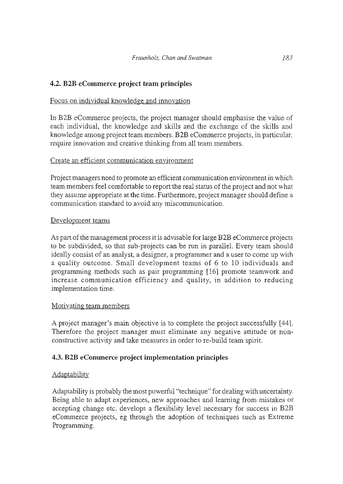#### **4.2. B2B eCommerce project team principles**

#### Focus on individual knowledge and innovation

In B2B eCommerce projects, the project manager should emphasise the value of each individual, the knowledge and skills and the exchange of the skills and knowledge among project team members. B2B eCommerce projects, in particular, require innovation and creative thinking from all team members.

#### Create an efficient communication environment

Project managers need to promote an efficient communication environment in which team members feel comfortable to report the real status of the project and not what they assume appropriate at the time. Furthermore, project manager should define a communication standard to avoid any miscommunication.

#### Development teams

As part of the management process it is advisable for large B2B eCommerce projects to be subdivided, so that sub-projects can be run in parallel. Every team should ideally consist of an analyst, a designer, a programmer and a user to come up with a quality outcome. Small development teams of 6 to 10 individuals and programming methods such as pair programming [16] promote teamwork and increase communication efficiency and quality, in addition to reducing implementation time.

#### Motivating team members

A project manager's main objective is to complete the project successfully [441. Therefore the project manager must eliminate any negative attitude or nonconstructive activity and take measures in order to re-build team spirit.

#### **4.3. B2B eCommerce project implementation principles**

#### Adaptability

Adaptability is probably the most powerful "technique" for dealing with uncertainty. Being able to adapt experiences, new approaches and learning from mistakes or accepting change etc. develops a flexibility level necessary for success in B2B eCommerce projects, eg through the adoption of techniques such as Extreme Programming.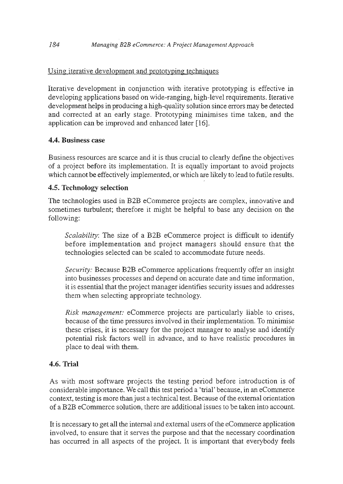#### Using iterative development and prototyping techniques

Iterative development in conjunction with iterative prototyping is effective in developing applications based on wide-ranging, high-level requirements. Iterative development helps in producing a high-quality solution since errors may be detected and corrected at an early stage. Prototyping minimises time taken, and the application can be improved and enhanced later [16].

#### **4.4. Business** case

Business resources are scarce and it is thus crucial to clearly define the objectives of a project before its implementation. It is equally important to avoid projects which cannot be effectively implemented, or which are likely to lead to futile results.

#### **4.5. Technology selection**

The technologies used in B2B eCommerce projects are complex, innovative and sometimes turbulent; therefore it might be helpful to base any decision on the following:

*Scalability:* The size of a B2B eCommerce project is difficult to identify before implementation and project managers should ensure that the technologies selected can be scaled to accommodate future needs.

*Security:* Because B2B eCommerce applications frequently offer an insight into businesses processes and depend on accurate date and time information, it is essential that the project manager identifies security issues and addresses them when selecting appropriate technology.

*Risk management:* eCommerce projects are particularly liable to crises, because of the time pressures involved in their implementation. To minimise these crises, it is necessary for the project manager to analyse and identify potential risk factors well in advance, and to have realistic procedures in place to deal with them.

#### **4.6. Trial**

As with most software projects the testing period before introduction is of considerable importance. We call this test period a 'trial' because, in an eCommerce context, testing is more than just a technical test. Because of the external orientation of a B2B eCommerce solution, there are additional issues to be taken into account.

It is necessary to get all the internal and external users of the eCommerce application involved, to ensure that it serves the purpose and that the necessary coordination has occurred in all aspects of the project. It is important that everybody feels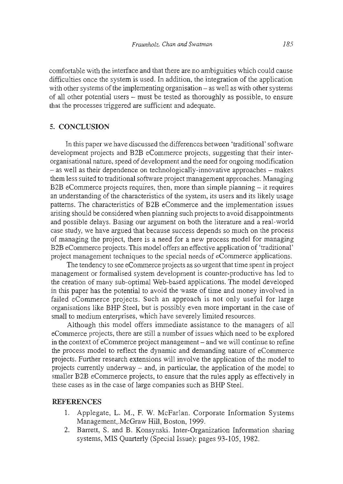comfortable with the interface and that there are no ambiguities which could cause difficulties once the system is used. In addition, the integration of the application with other systems of the implementing organisation  $-$  as well as with other systems of all other potential users – must be tested as thoroughly as possible, to ensure that the processes triggered are sufficient and adequate.

#### **5. CONCLUSION**

In this paper we have discussed the differences between 'traditional' software development projects and B2B eCommerce projects, suggesting that their interorganisational nature, speed of development and the need for ongoing modification  $-$  as well as their dependence on technologically-innovative approaches  $-$  makes them less suited to traditional software project management approaches. Managing B2B eCommerce projects requires, then, more than simple planning  $-$  it requires an understanding of the characteristics of the system, its users and its likely usage patterns. The characteristics of B2B eCommerce and the implementation issues arising should be considered when planning such projects to avoid disappointments and possible delays. Basing our argument on both the literature and a real-world case study, we have argued that because success depends so much on the process of managing the project, there is a need for a new process model for managing B2B eCommerce projects. This model offers an effective application of 'traditional' project management techniques to the special needs of eCommerce applications.

The tendency to see eCommerce projects as so urgent that time spent in project management or formalised system development is counter-productive has led to the creation of many sub-optimal Web-based applications. The model developed in this paper has the potential to avoid the waste of time and money involved in failed eCommerce projects. Such an approach is not only useful for large organisations like BHP Steel, but is possibly even more important in the case of small to medium enterprises, which have severely limited resources.

Although this model offers immediate assistance to the managers of all eCommerce projects, there are still a number of issues which need to be explored in the context of eCommerce project management – and we will continue to refine the process model to reflect the dynamic and demanding nature of eCommerce projects. Further research extensions will involve the application of the model to projects currently underway - and, in particular, the application of the model to smaller B2B eCommerce projects, to ensure that the rules apply as effectively in these cases as in the case of large companies such as BHP Steel.

#### **REFERENCES**

- 1. Applegate, L. M., F. W. McFarlan. Corporate Information Systems Management,.McGraw Hill, Boston, 1999.
- 2. Barrett, S. and B. Konsynski. Inter-Organization Information sharing systems, MIS Quarterly (Special Issue): pages 93-105, 1982.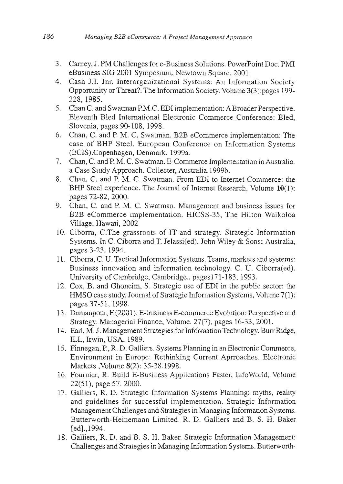- 3. Carney, J. PM Challenges for e-Business Solutions. PowerPoint Doc. PMI eBusiness SIG 2001 Symposium, Newtown Square, 2001.
- 4. Cash J.1. Jnr. Interorganizational Systems: An Information Society Opportunity or Threat? The Information Society. Volume 3(3):pages 199- 228,1985.
- 5. Chan C. and Swatman P.M.C. EDI implementation: A Broader Perspective. Eleventh Bled International Electronic Commerce Conference: Bled, Slovenia, pages 90-108, 1998.
- 6. Chan, C. and P. M. C. Swatman. B2B eCommerce implementation: The case of BHP Steel. European Conference on Information Systems (ECIS).Copenhagen, Denmark. 1999a.
- 7. Chan, C. and P. M. C. Swatman. E-Commerce Implementation in Australia: a Case Study Approach. Collecter, Australia. 1999b.
- 8. Chan, C. and P. M. C. Swatman. From EDI to Internet Commerce: the BHP Steel experience. The Journal of Internet Research, Volume 10(1): pages 72-82,2000.
- 9. Chan, C. and P. M. C. Swatman. Management and business issues for B2B eCommerce implementation. HICSS-35, The Hilton Waikoloa Village, Hawaii, 2002
- 10. Ciborra, C.The grassroots of IT and strategy. Strategic Information Systems. In C. Ciborra and T. Jelassi(ed), John Wiley & Sons: Australia, pages 3-23, 1994.
- 11. Ciborra, C. U. Tactical Information Systems. Teams, markets and systems: Business innovation and information technology. C. U. Ciborra(ed). University of Cambridge, Cambridge., pages 171-183, 1993.
- 12. Cox, B. and Ghoneim, S. Strategic use of EDI in the public sector: the HMSO case study. Journal of Strategic Information Systems, Volume 7(1): pages 37-51,1998.
- 13. Damanpour, F (2001). E-business E-commerce Evolution: Perspective and Strategy. Managerial Finance, Volume. 27(7), pages 16-33,2001.
- 14. Earl, M. J. Management Strategies for Information Technology. Burr Ridge, ILL, Irwin, USA, 1989.
- 15. Finnegan, P., R. D. Galliers. Systems Planning in an Electronic Commerce, Environment in Europe: Rethinking Current Aprroaches. Electronic Markets ,Volume 8(2): 35-38.1998.
- 16. Fournier, R. Build E-Business Applications Faster, InfoWorld, Volume 22(51), page 57.2000.
- 17. Galliers, R. D. Strategic Information Systems Planning: myths, realiiy and guidelines for successful implementation. Strategic Information Management Challenges and Strategies in Managing Information Systems. Butterworth-Heinemann Limited. R. D. Galliers and B. S. H. Baker [ed].,1994.
- 18. Galliers, R. D. and B. S. H. Baker. Strategic Information Management: Challenges and Strategies in Managing Information Systems. Butterworth-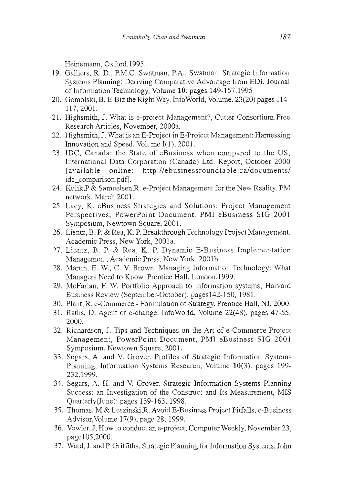Heinemann, Oxford. 1995.

- 19. Galliers, R. D., P.M.C. Swatman, P.A., Swatman. Strategic Information Systems Planning: Deriving Comparative Advantage from ED!. Journal of Information Technology, Volume **10:** pages 149-157.1995
- 20. Gomolski, B. E-Biz the Right Way. Info World, Volume. 23(20) pages 114- 117,2001.
- 21. Highsmith, J. What is e-project Management?, Cutter Consortium. Free Research Articles, November, 2000a.
- 22. Highsmith, J. What is an E-Project in E-Project Management: Harnessing Innovation and Speed. Volume  $I(1)$ , 2001.
- 23. IDC, Canada: the State of eBusiness when compared to the US, International Data Corporation (Canada) Ltd. Report, October 2000 [available online: http://ebusinessroundtable.ca/documents/ ide\_comparison. pdf].
- 24. Kulik,P & Samuelsen,R. e-Project Management for the New Reality. PM network, March 2001.
- 25. Lacy, K. eBusiness Strategies and Solutions: Project Management Perspectives, PowerPoint Document. PMI eBusiness SIG 2001 Symposium, Newtown Square, 2001.
- 26. Lientz, B. P. & Rea, K. P. Breakthrough Technology Project Management. Academic Press, New York, 200Ia.
- 27. Lientz, B. P. & Rea, K. P. Dynamic E-Business Implementation Management, Academic Press, New York. 2001b.
- 28. Martin, E. W., C. V. Brown. Managing Information Technology: What Managers Need to Know. Prentice Hall, London, 1999.
- 29. McFarlan, F. W. Portfolio Approach to information systems, Harvard Business Review (September-October): pages142-1S0, 1981.
- 30. Plant, R. e-Commerce Formulation of Strategy. Prentice Hall, NJ, 2000.
- 31. Raths, D. Agent of e-change. InfoWorld, Volume 22(48), pages 47-SS, 2000.
- 32. Richardson, J. Tips and Techniques on the Art of e-Commerce Project Management, PowerPoint Document, PMI eBusiness SIG 2001 Symposium, Newtown Square, 2001.
- 33. Segars, A. and V. Grover. Profiles of Strategic Information Systems Planning, Information Systems Research, Volume 10(3): pages 199- 232,1999.
- 34. Segars, A. H. and V. Grover. Strategic Information Systems Planning Success: an Investigation of the Construct and Its Measurement, MIS Quarterly(June): pages 139-163, 1998.
- 3S. Thomas, M & Leszinski,R. Avoid E-Business Project Pitfalls, e-Business Advisor,Volume 17(9), page 28, 1999.
- 36. Vowler, J, How to conduct an e-project, Computer Weekly, November 23, page 105,2000.
- 37. vVard, J. and P. Griffiths. Strategic Planning for Information Systems, John